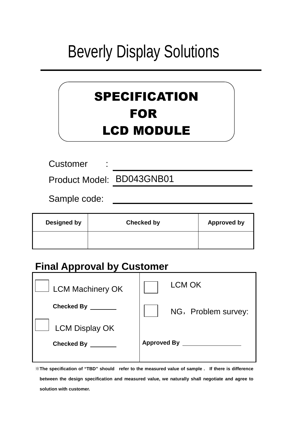# Beverly Display Solutions

# SPECIFICATION FOR LCD MODULE

**Customer** 

Product Model: BD043GNB01

Sample code:

| <b>Designed by</b> | <b>Checked by</b> | <b>Approved by</b> |
|--------------------|-------------------|--------------------|
|                    |                   |                    |
|                    |                   |                    |

## **Final Approval by Customer**

| <b>LCM Machinery OK</b> | LCM OK              |
|-------------------------|---------------------|
| <b>Checked By</b>       | NG, Problem survey: |
| <b>LCM Display OK</b>   |                     |
| <b>Checked By</b>       | <b>Approved By</b>  |
|                         |                     |

※**The specification of "TBD" should refer to the measured value of sample . If there is difference between the design specification and measured value, we naturally shall negotiate and agree to solution with customer.**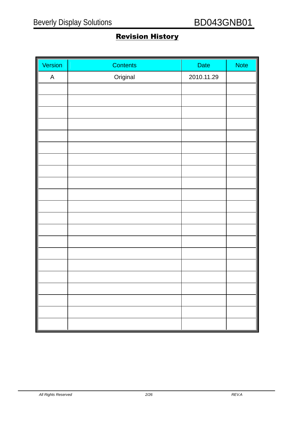### Revision History

| Version      | Contents | <b>Date</b> | <b>Note</b> |
|--------------|----------|-------------|-------------|
| $\mathsf{A}$ | Original | 2010.11.29  |             |
|              |          |             |             |
|              |          |             |             |
|              |          |             |             |
|              |          |             |             |
|              |          |             |             |
|              |          |             |             |
|              |          |             |             |
|              |          |             |             |
|              |          |             |             |
|              |          |             |             |
|              |          |             |             |
|              |          |             |             |
|              |          |             |             |
|              |          |             |             |
|              |          |             |             |
|              |          |             |             |
|              |          |             |             |
|              |          |             |             |
|              |          |             |             |
|              |          |             |             |
|              |          |             |             |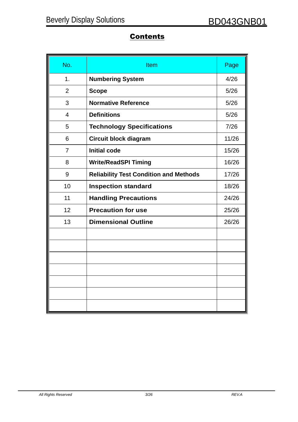### **Contents**

| No.            | <b>Item</b>                                   | Page  |
|----------------|-----------------------------------------------|-------|
| 1.             | <b>Numbering System</b>                       | 4/26  |
| $\overline{2}$ | <b>Scope</b>                                  | 5/26  |
| 3              | <b>Normative Reference</b>                    | 5/26  |
| $\overline{4}$ | <b>Definitions</b>                            | 5/26  |
| 5              | <b>Technology Specifications</b>              | 7/26  |
| 6              | <b>Circuit block diagram</b>                  | 11/26 |
| $\overline{7}$ | <b>Initial code</b>                           | 15/26 |
| 8              | <b>Write/ReadSPI Timing</b>                   | 16/26 |
| 9              | <b>Reliability Test Condition and Methods</b> | 17/26 |
| 10             | <b>Inspection standard</b>                    | 18/26 |
| 11             | <b>Handling Precautions</b>                   | 24/26 |
| 12             | <b>Precaution for use</b>                     | 25/26 |
| 13             | <b>Dimensional Outline</b>                    | 26/26 |
|                |                                               |       |
|                |                                               |       |
|                |                                               |       |
|                |                                               |       |
|                |                                               |       |
|                |                                               |       |
|                |                                               |       |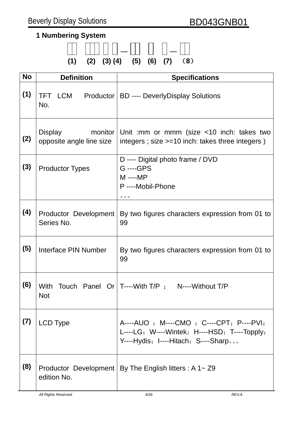### **1 Numbering System**

|  | $(1)$ $(2)$ $(3)$ $(4)$ $(5)$ $(6)$ $(7)$ $(8)$ |  |  |
|--|-------------------------------------------------|--|--|

| <b>No</b> | <b>Definition</b>                          | <b>Specifications</b>                                                                                                            |
|-----------|--------------------------------------------|----------------------------------------------------------------------------------------------------------------------------------|
| (1)       | TFT LCM<br>No.                             | Productor   BD ---- Deverly Display Solutions                                                                                    |
| (2)       | <b>Display</b><br>opposite angle line size | monitor   Unit : mm or mmm (size $\lt 10$ inch: takes two<br>integers; size >=10 inch: takes three integers)                     |
| (3)       | <b>Productor Types</b>                     | D ---- Digital photo frame / DVD<br>G ----GPS<br>M ---- MP<br>P ----Mobil-Phone<br>000                                           |
| (4)       | Productor Development<br>Series No.        | By two figures characters expression from 01 to<br>99                                                                            |
| (5)       | Interface PIN Number                       | By two figures characters expression from 01 to<br>99                                                                            |
| (6)       | <b>With</b><br><b>Not</b>                  | Touch Panel Or $T$ ----With $T/P$ ; N----Without $T/P$                                                                           |
| (7)       | <b>LCD Type</b>                            | A----AUO ; M----CMO ; C----CPT; P----PVI;<br>L----LG; W----Wintek; H----HSD; T----Topply;<br>Y----Hydis; I----Hitach; S----Sharp |
| (8)       | Productor Development<br>edition No.       | By The English litters : A $1 \sim Z9$                                                                                           |
|           | <b>CAII Rights Reserved</b>                | 4/26<br>REV.A                                                                                                                    |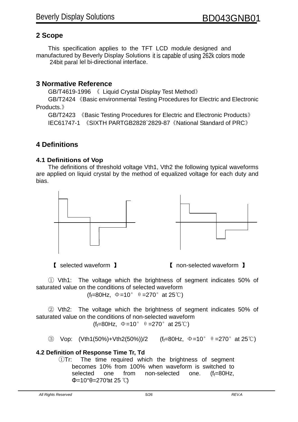#### **2 Scope**

This specification applies to the TFT LCD module designed and manufactured by Beverly Display Solutions it is capable of using 262k colors mode 24bit paral lel bi-directional interface.

#### **3 Normative Reference**

GB/T4619-1996 《 Liquid Crystal Display Test Method》

GB/T2424 《Basic environmental Testing Procedures for Electric and Electronic Products.》

GB/T2423 《Basic Testing Procedures for Electric and Electronic Products》 IEC61747-1 《SIXTH PARTGB2828`2829-87《National Standard of PRC》

#### **4 Definitions**

#### **4.1 Definitions of Vop**

The definitions of threshold voltage Vth1, Vth2 the following typical waveforms are applied on liquid crystal by the method of equalized voltage for each duty and bias.



【 selected waveform 】 【 non-selected waveform 】

① Vth1: The voltage which the brightness of segment indicates 50% of saturated value on the conditions of selected waveform (f<sub>f</sub>=80Hz,  $\Phi$ =10°  $\theta$  =270° at 25°C)

② Vth2: The voltage which the brightness of segment indicates 50% of saturated value on the conditions of non-selected waveform (f<sub>f</sub>=80Hz,  $\Phi$ =10°  $\theta$  =270° at 25°C)

 $\textcircled{3}$  Vop: (Vth1(50%)+Vth2(50%))/2 (f<sub>f</sub>=80Hz, Φ=10° θ=270° at 25°C)

#### **4.2 Definition of Response Time Tr, Td**

①Tr: The time required which the brightness of segment becomes 10% from 100% when waveform is switched to selected one from non-selected one.  $(f_f=80Hz,$ Φ=10° $\theta$ =270°at 25 °C)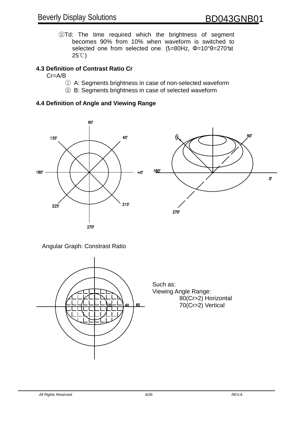②Td: The time required which the brightness of segment becomes 90% from 10% when waveform is switched to selected one from selected one. (f<sub>f</sub>=80Hz, Φ=10°θ=270°at  $25^{\circ}$ 

#### **4.3 Definition of Contrast Ratio Cr**

#### Cr=A/B

- ① A: Segments brightness in case of non-selected waveform
- ② B: Segments brightness in case of selected waveform

#### **4.4 Definition of Angle and Viewing Range**



#### Angular Graph: Constrast Ratio



Such as: Viewing Angle Range: 80(Cr>2) Horizontal 70(Cr>2) Vertical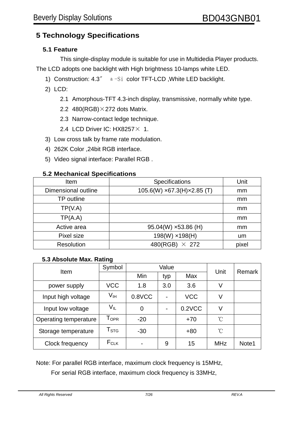#### **5 Technology Specifications**

#### **5.1 Feature**

 This single-display module is suitable for use in Multidedia Player products. The LCD adopts one backlight with High brightness 10-lamps white LED.

- 1) Construction: 4.3〞 а-Si color TFT-LCD ,White LED backlight.
- 2) LCD:
	- 2.1 Amorphous-TFT 4.3-inch display, transmissive, normally white type.
	- 2.2 480(RGB) $\times$ 272 dots Matrix.
	- 2.3 Narrow-contact ledge technique.
	- 2.4 LCD Driver IC: HX8257 × 1.
- 3) Low cross talk by frame rate modulation.
- 4) 262K Color ,24bit RGB interface.
- 5) Video signal interface: Parallel RGB .

#### **5.2 Mechanical Specifications**

| Item                | Specifications                           | Unit  |
|---------------------|------------------------------------------|-------|
| Dimensional outline | $105.6(W) \times 67.3(H) \times 2.85(T)$ | mm    |
| TP outline          |                                          | mm    |
| TP(V.A)             |                                          | mm    |
| TP(A.A)             |                                          | mm    |
| Active area         | $95.04(W) \times 53.86(H)$               | mm    |
| Pixel size          | 198(W) x198(H)                           | um    |
| <b>Resolution</b>   | 480(RGB) $\times$ 272                    | pixel |

#### **5.3 Absolute Max. Rating**

| Item                  | Symbol                      |                   | Value | Unit       | Remark     |       |
|-----------------------|-----------------------------|-------------------|-------|------------|------------|-------|
|                       |                             | Min<br>Max<br>typ |       |            |            |       |
| power supply          | <b>VCC</b>                  | 1.8               | 3.0   | 3.6        | V          |       |
| Input high voltage    | V <sub>IH</sub>             | $0.8$ VCC         |       | <b>VCC</b> | V          |       |
| Input low voltage     | $V_{IL}$                    | 0                 |       | 0.2VCC     | V          |       |
| Operating temperature | $\mathsf{T}_{\mathsf{OPR}}$ | $-20$             |       | $+70$      | °C         |       |
| Storage temperature   | $\mathsf{T}_{\texttt{STG}}$ | $-30$             |       | $+80$      | °C         |       |
| Clock frequency       | $F_{CLK}$                   |                   | 9     | 15         | <b>MHz</b> | Note1 |

Note: For parallel RGB interface, maximum clock frequency is 15MHz,

For serial RGB interface, maximum clock frequency is 33MHz,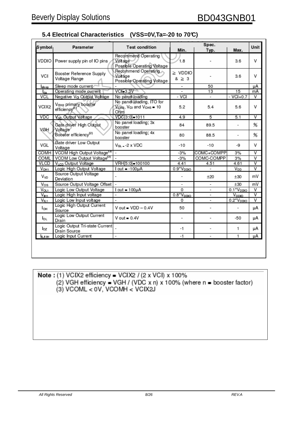| 5.4 Electrical Characteristics (VSS=0V, Ta=-20 to 70°C) |  |
|---------------------------------------------------------|--|
|---------------------------------------------------------|--|

| Symbol             | Parameter                                         | <b>Test condition</b>                                        | Spec.                    |                          |                          |                         |
|--------------------|---------------------------------------------------|--------------------------------------------------------------|--------------------------|--------------------------|--------------------------|-------------------------|
|                    |                                                   |                                                              | Min.                     | Typ.                     | Max.                     | Unit                    |
| VDDIO              | Power supply pin of IO pins                       | Recommend Operating<br>Voltage<br>Possible Operating Voltage | 1.8                      |                          | 3.6                      | v                       |
| VCI                | Booster Reference Supply<br>Voltage Range         | Recommend Operating<br>Voltage<br>Possible Operating Voltage | ≥ VDDIO<br>$& \geq 3$    |                          | 3.6                      | v                       |
| l <sub>sleep</sub> | Sleep mode current/                               | $\overline{a}$                                               | $\overline{\phantom{a}}$ | 50                       |                          | μA                      |
| l <sub>do</sub>    | Operating mode current                            | $VCI = 3.3V$                                                 |                          | 13                       | 15                       | mA                      |
| <b>VCL</b>         | Negative Va Output Voltage                        | No panel loading                                             | - VCI                    |                          | $-VCI + 0.7$             | V                       |
| VCIX2              | Vax2 primary booster<br>efficiency <sup>(1)</sup> | No panel loading, ITO for<br>VCD2, Vcl and VCHS = 10<br>Ohm  | 5.2                      | 5.4                      | 5.6                      | v                       |
| <b>VDC</b>         | V <sub>DC</sub> Output Voltage                    | VDC[3:0]=1011                                                | 4.9                      | 5                        | 5.1                      | $\overline{\mathsf{v}}$ |
| VGH                | Gate driver High Output<br>Voltage                | No panel loading; 3x<br>booster                              | 84                       | 89.5                     | $\overline{\phantom{a}}$ | 96                      |
|                    | Booster efficiency <sup>(2)</sup>                 | No panel loading; 4x<br>booster                              | 80                       | 88.5                     | $\overline{\phantom{a}}$ | 96                      |
| VGL                | Gate driver Low Output<br>Voltage                 | $Va = -2 \times VDC$                                         | $-10$                    | $-10$                    | -9                       | V                       |
| <b>COMH</b>        | VCOM High Output Voltage <sup>(a)</sup>           |                                                              | $-3%$                    | COMC+COMPP               | 3%                       | $\overline{\mathsf{v}}$ |
| <b>COML</b>        | VCOM Low Output Voltage <sup>(3)</sup>            | $\overline{a}$                                               | $-3%$                    | COMC-COMPP               | 3%                       | $\overline{\mathsf{v}}$ |
| <b>VLCD</b>        | VLCD Output Voltage                               | VRH[5:0]=100100                                              | 4.41                     | 4.51                     | 4.61                     | V                       |
| V <sub>OH1</sub>   | Logic High Output Voltage                         | $I out = -100µA$                                             | $0.9*VDDO$               |                          | V <sub>DD</sub>          | $\overline{\mathsf{v}}$ |
| V <sub>VD</sub>    | Source Output Voltage<br>Deviation                |                                                              | ۰                        | $+20$                    | $\pm 30$                 | mV                      |
| Vos                | Source Output Voltage Offset                      |                                                              | ۰                        | $\sim$                   | ±30                      | mV                      |
| Vou                | Logic Low Output Voltage                          | $I out = 100 \mu A$                                          | 0                        | $\overline{\phantom{a}}$ | 0.1*V <sub>DDIO</sub>    | $\overline{V}$          |
| $V_{H1}$           | Logic High Input voltage                          | $\overline{\phantom{a}}$                                     | $0.8*V_{DDIO}$           | ۰                        | $V_{DDLO}$               | $\overline{\mathsf{v}}$ |
| V <sub>IL1</sub>   | Logic Low Input voltage                           | $\overline{a}$                                               | 0                        | ٠                        | $0.2*VDDIO$              | $\overline{\mathsf{v}}$ |
| Ιон                | Logic High Output Current<br>Source               | $V$ out = $VDD - 0.4V$                                       | 50                       | ٠                        | ۰                        | μA                      |
| lοι                | Logic Low Output Current<br>Drain                 | $V$ out = 0.4 $V$                                            | $\overline{\phantom{a}}$ | $\overline{a}$           | $-50$                    | μA                      |
| loz                | Logic Output Tri-state Current<br>Drain Source    |                                                              | -1                       | ۰                        | 1                        | μA                      |
|                    | Logic Input Current                               | $\overline{\phantom{a}}$                                     | $-1$                     | $\overline{a}$           | 1                        | μA                      |

Note: (1) VCIX2 efficiency = VCIX2 / (2 x VCI) x 100% (2) VGH efficiency = VGH / (VDC x n) x 100% (where n = booster factor)  $(3)$  VCOML < 0V, VCOMH < VCIX2J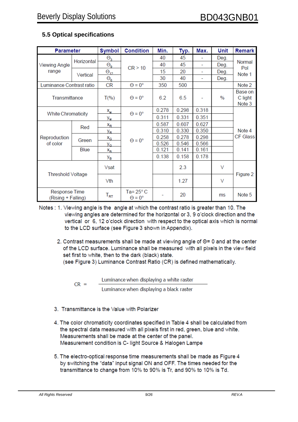| <b>Parameter</b>                    |                           | <b>Symbol</b>              | <b>Condition</b>                           | Min.  | Typ.  | Max.  | Unit   | <b>Remark</b>                |
|-------------------------------------|---------------------------|----------------------------|--------------------------------------------|-------|-------|-------|--------|------------------------------|
|                                     |                           | $\Theta_{3}$               |                                            | 40    | 45    | ÷.    | Deg.   | Normal<br>Pol                |
| <b>Viewing Angle</b>                | Horizontal                | $\Theta_{9}$               | CR > 10                                    | 40    | 45    |       | Deg.   |                              |
| range                               | Vertical                  | $\Theta_{12}$              | 15                                         | 20    | ۰     | Deg.  | Note 1 |                              |
|                                     |                           | $\Theta_{6}$               |                                            | 30    | 40    | ۰     | Deg.   |                              |
| Luminance Contrast ratio            |                           | <b>CR</b>                  | $\Theta = 0^\circ$                         | 350   | 500   |       |        | Note 2                       |
| Transmittance                       |                           | $T(\% )$                   | $\Theta = 0^{\circ}$                       | 6.2   | 6.5   |       | $\%$   | Base on<br>C light<br>Note 3 |
|                                     |                           | $x_{w}$                    | $\Theta = 0^\circ$                         | 0.278 | 0.298 | 0.318 |        |                              |
|                                     | <b>White Chromaticity</b> |                            |                                            | 0.311 | 0.331 | 0.351 |        |                              |
|                                     | Red                       | y <sub>w</sub><br>$X_R$    |                                            | 0.587 | 0.607 | 0.627 |        |                              |
|                                     |                           | У <sub>R</sub>             | $\Theta = 0^{\circ}$                       | 0.310 | 0.330 | 0.350 |        | Note 4<br><b>CF Glass</b>    |
| Reproduction                        | Green                     | $x_G$                      |                                            | 0.258 | 0.278 | 0.298 |        |                              |
| of color                            |                           | УG                         |                                            | 0.526 | 0.546 | 0.566 |        |                              |
|                                     | Blue                      | $X_{\rm B}$                |                                            | 0.121 | 0.141 | 0.161 |        |                              |
|                                     |                           | Ув                         |                                            | 0.138 | 0.158 | 0.178 |        |                              |
| Threshold Voltage                   |                           | Vsat                       |                                            |       | 2.3   |       | V      |                              |
|                                     |                           | Vth                        |                                            |       | 1.27  |       | $\vee$ | Figure 2                     |
| Response Time<br>(Rising + Falling) |                           | $\mathsf{T}_{\mathsf{RT}}$ | Ta= $25^{\circ}$ C<br>$\Theta = 0^{\circ}$ |       | 20    |       | ms     | Note 5                       |

#### **5.5 Optical specifications**

- Notes: 1. Viewing angle is the angle at which the contrast ratio is greater than 10. The viewing angles are determined for the horizontal or 3, 9 o'clock direction and the vertical or 6, 12 o'clock direction with respect to the optical axis which is normal to the LCD surface (see Figure 3 shown in Appendix).
	- 2. Contrast measurements shall be made at viewing angle of  $\Theta$ = 0 and at the center of the LCD surface. Luminance shall be measured with all pixels in the view field set first to white, then to the dark (black) state. (see Figure 3) Luminance Contrast Ratio (CR) is defined mathematically.

Luminance when displaying a white raster  $CR =$ 

Luminance when displaying a black raster

- 3. Transmittance is the Value with Polarizer
- 4. The color chromaticity coordinates specified in Table 4 shall be calculated from the spectral data measured with all pixels first in red, green, blue and white. Measurements shall be made at the center of the panel. Measurement condition is C- light Source & Halogen Lampe
- 5. The electro-optical response time measurements shall be made as Figure 4 by switching the "data" input signal ON and OFF. The times needed for the transmittance to change from 10% to 90% is Tr, and 90% to 10% is Td.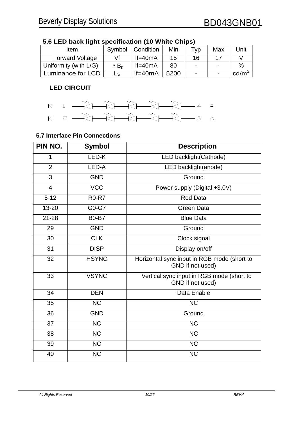| Item                   | Symbol                          | Condition   | Min  | Typ                      | Max | Unit            |
|------------------------|---------------------------------|-------------|------|--------------------------|-----|-----------------|
| <b>Forward Voltage</b> | Vf                              | $If = 40mA$ | 15   | 16                       |     |                 |
| Uniformity (with L/G)  | $\vartriangle$ $\mathsf{B_{o}}$ | $If = 40mA$ | 80   | $\blacksquare$           |     | $\%$            |
| Luminance for LCD      | LV.                             | $If = 40mA$ | 5200 | $\overline{\phantom{0}}$ |     | $\text{cd/m}^2$ |

#### **5.6 LED back light specification (10 White Chips)**

#### **LED CIRCUIT**



#### **5.7 Interface Pin Connections**

| PIN NO.        | <b>Symbol</b>          | <b>Description</b>                                              |
|----------------|------------------------|-----------------------------------------------------------------|
| 1              | LED-K                  | LED backlight(Cathode)                                          |
| $\overline{2}$ | LED-A                  | LED backlight(anode)                                            |
| 3              | <b>GND</b>             | Ground                                                          |
| $\overline{4}$ | <b>VCC</b>             | Power supply (Digital +3.0V)                                    |
| $5 - 12$       | <b>R0-R7</b>           | <b>Red Data</b>                                                 |
| 13-20          | G0-G7                  | <b>Green Data</b>                                               |
| $21 - 28$      | <b>B0-B7</b>           | <b>Blue Data</b>                                                |
| 29             | <b>GND</b>             | Ground                                                          |
| 30             | <b>CLK</b>             | Clock signal                                                    |
| 31             | <b>DISP</b>            | Display on/off                                                  |
| 32             | <b>HSYNC</b>           | Horizontal sync input in RGB mode (short to<br>GND if not used) |
| 33             | <b>VSYNC</b>           | Vertical sync input in RGB mode (short to<br>GND if not used)   |
| 34             | <b>DEN</b>             | Data Enable                                                     |
| 35             | <b>NC</b>              | <b>NC</b>                                                       |
| 36             | <b>GND</b>             | Ground                                                          |
| 37             | <b>NC</b>              | <b>NC</b>                                                       |
| 38             | $\overline{\text{NC}}$ | $\overline{\text{NC}}$                                          |
| 39             | <b>NC</b>              | $\overline{\text{NC}}$                                          |
| 40             | <b>NC</b>              | <b>NC</b>                                                       |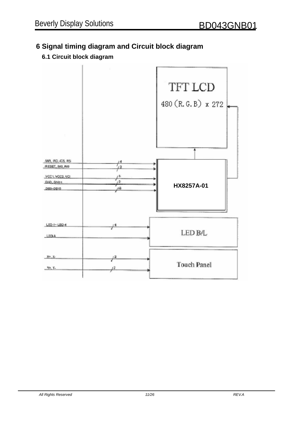### **6 Signal timing diagram and Circuit block diagram**

#### **6.1 Circuit block diagram**

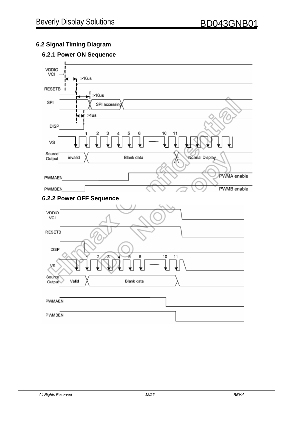#### **6.2 Signal Timing Diagram**

#### **6.2.1 Power ON Sequence**

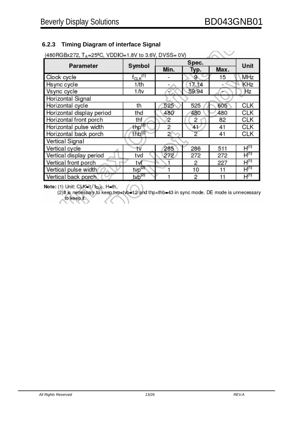#### **6.2.3 Timing Diagram of interface Signal**

| (480 RGBx 272, TA=25 <sup>2</sup> C, VDDIO=1.8V to 3.6V, DVSS= 0V) |                            |       |                |      |            |  |
|--------------------------------------------------------------------|----------------------------|-------|----------------|------|------------|--|
| <b>Parameter</b>                                                   | Symbol                     | Spec. |                |      | Unit       |  |
|                                                                    |                            | Min.  | Typ.           | Max. |            |  |
| Clock cycle                                                        | $t_{CLK}^{(1)}$            |       | 9              | 15   | MHz        |  |
| Hsync cycle                                                        | 1/th                       |       | 17.14          |      | KHz        |  |
| Vsync cycle                                                        | 1/tv                       |       | 59.94          |      | Hz         |  |
| Horizontal Signal                                                  |                            |       |                |      |            |  |
| Horizontal cycle                                                   | th                         | 525   | 525            | 605  | <b>CLK</b> |  |
| Horizontal display period                                          | thd                        | 480   | 480            | 480  | <b>CLK</b> |  |
| Horizontal front porch                                             | thf                        | 2     | 2              | 82   | CLK        |  |
| Horizontal pulse width                                             | thp <sup>(2)</sup>         | 2     | 41             | 41   | CLK        |  |
| Horizontal back porch                                              | thb <sup>(2)</sup>         | 2     | $\overline{2}$ | 41   | CLK        |  |
| Vertical Signal                                                    |                            |       |                |      |            |  |
| Vertical cycle                                                     | tv                         | 285   | 286            | 511  | $H^{(1)}$  |  |
| Vertical display period                                            | tvd                        | 272   | 272            | 272  | $H^{(1)}$  |  |
| Vertical front porch                                               | tvf                        |       | 2              | 227  | $H^{(1)}$  |  |
| Vertical pulse width                                               | $typ^{(2)}$                |       | 10             | 11   | $H^{(1)}$  |  |
| Vertical back porch                                                | $1$ <sub>V</sub> $b^{(2)}$ |       | 2              | 11   | $H_{(1)}$  |  |

Note: (1) Unit: CLK-1/fcLe, H=th,

(2) It is necessary to keep tvp+tvb=12 and thp+thb=43 in sync mode. DE mode is unnecessary to keep it.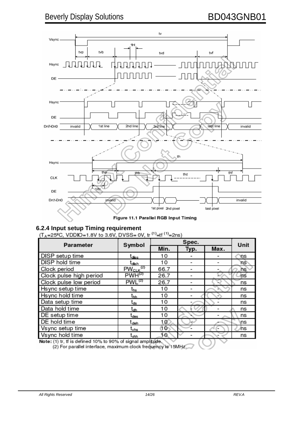

Figure 11.1 Parallel RGB Input Timing

**6.2.4 Input setup Timing requirement**<br>( $T_A$ =25<sup>°</sup>C, VDDIO=1.8V to 3.6V, DVSS= 0V, tr <sup>(1)</sup>=tf <sup>(1)</sup>=2ns)

| <b>Parameter</b>        | Symbol            | Spec.           |                          |      | Unit |
|-------------------------|-------------------|-----------------|--------------------------|------|------|
|                         |                   | Min.            | Typ.                     | Max. |      |
| DISP setup time         | t <sub>diss</sub> | 10              |                          |      | 'ns  |
| <b>DISP</b> hold time   | t <sub>dish</sub> | 10              | $\overline{\phantom{0}}$ |      | ns   |
| Clock period            | $PW_{CLK}^{(2)}$  | 66.7            |                          |      | ns   |
| Clock pulse high period | $PWH^{(2)}$       | 26.7            |                          |      | hs   |
| Clock pulse low period  | $PWL^{(2)}$       | 26.7            |                          |      | ns   |
| Hsync setup time        | t <sub>hs</sub>   | 10              |                          |      | ns   |
| Hsync hold time         | t <sub>hh</sub>   | 10              |                          |      | ns   |
| Data setup time         | t <sub>ds</sub>   | 10              |                          |      | ns   |
| Data hold time          | t <sub>dh</sub>   | 10              |                          |      | ns   |
| DE setup time           | t <sub>des</sub>  | 10              |                          |      | ns   |
| DE hold time            | t <sub>deh</sub>  | 10              |                          |      | ns   |
| Vsync setup time        | $\rm t_{\rm vhs}$ | 10 <sup>.</sup> |                          |      | 'ns  |
| Vsync hold time         | $t_{\rm whh}$     | -0.             |                          |      | ns   |

Note: (1) tr, tf is defined 10% to 90% of signal amplitude.<br>(2) For parallel interface, maximum clock frequency is 15MHz  $\left($  (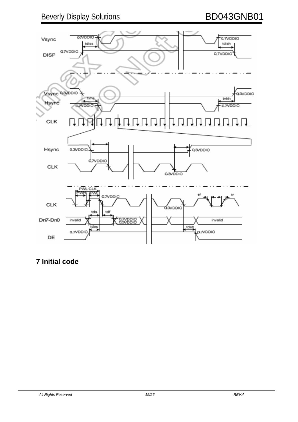### Beverly Display Solutions **BD043GNB01**



### **7 Initial code**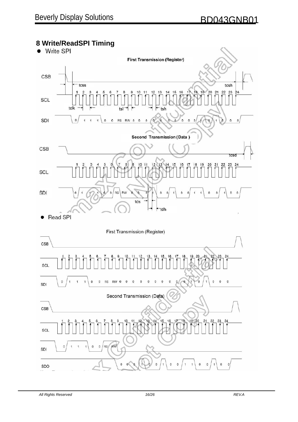## **8 Write/ReadSPI Timing**

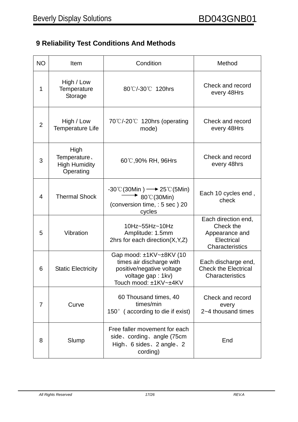### **9 Reliability Test Conditions And Methods**

| <b>NO</b>      | Item                                                                                                                                                         | Condition                                                                                                                            | Method                                                                              |  |
|----------------|--------------------------------------------------------------------------------------------------------------------------------------------------------------|--------------------------------------------------------------------------------------------------------------------------------------|-------------------------------------------------------------------------------------|--|
| 1              | High / Low<br>Temperature<br>Storage                                                                                                                         | 80°C/-30°C 120hrs                                                                                                                    | Check and record<br>every 48Hrs                                                     |  |
| $\overline{2}$ | High / Low<br><b>Temperature Life</b>                                                                                                                        | 70℃/-20℃ 120hrs (operating<br>mode)                                                                                                  | Check and record<br>every 48Hrs                                                     |  |
| 3              | High<br>Temperature.<br><b>High Humidity</b><br>Operating                                                                                                    | 60℃,90% RH, 96Hrs                                                                                                                    | Check and record<br>every 48hrs                                                     |  |
| 4              | <b>Thermal Shock</b>                                                                                                                                         | $-30^{\circ}$ C(30Min) $\longrightarrow$ 25 $\circ$ C(5Min)<br>$\rightarrow$ 80°C (30Min)<br>(conversion time, : 5 sec) 20<br>cycles | Each 10 cycles end,<br>check                                                        |  |
| 5              | Vibration                                                                                                                                                    | 10Hz~55Hz~10Hz<br>Amplitude: 1.5mm<br>2hrs for each direction $(X, Y, Z)$                                                            | Each direction end,<br>Check the<br>Appearance and<br>Electrical<br>Characteristics |  |
| 6              | Gap mood: ±1KV~±8KV (10<br>times air discharge with<br>positive/negative voltage<br><b>Static Electricity</b><br>voltage gap : 1kv)<br>Touch mood: ±1KV~±4KV |                                                                                                                                      | Each discharge end,<br><b>Check the Electrical</b><br>Characteristics               |  |
| 7              | Curve                                                                                                                                                        | 60 Thousand times, 40<br>times/min<br>150 $^{\circ}$ (according to die if exist)                                                     | Check and record<br>every<br>2~4 thousand times                                     |  |
| 8              | Free faller movement for each<br>side, cording, angle (75cm<br>Slump<br>High, 6 sides, 2 angle, 2<br>cording)                                                |                                                                                                                                      | End                                                                                 |  |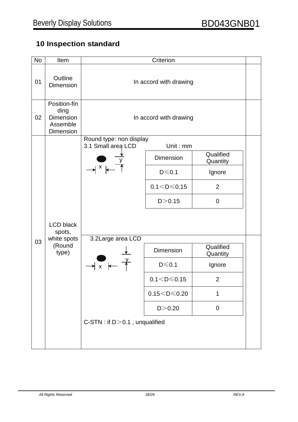### **10 Inspection standard**

| <b>No</b> | Item                                                       |                                               | Criterion           |                       |  |  |
|-----------|------------------------------------------------------------|-----------------------------------------------|---------------------|-----------------------|--|--|
| 01        | Outline<br><b>Dimension</b>                                | In accord with drawing                        |                     |                       |  |  |
| 02        | Position-fin<br>ding<br>Dimension<br>Assemble<br>Dimension | In accord with drawing                        |                     |                       |  |  |
|           |                                                            | Round type: non display<br>3.1 Small area LCD | Unit: mm            |                       |  |  |
|           |                                                            |                                               | Dimension           | Qualified<br>Quantity |  |  |
|           |                                                            | $\rightarrow$ $^{\times}$ $\leftarrow$        | $D \le 0.1$         | Ignore                |  |  |
|           |                                                            |                                               | $0.1 < D \le 0.15$  | 2                     |  |  |
|           |                                                            |                                               | D > 0.15            | $\mathbf 0$           |  |  |
|           | <b>LCD black</b><br>spots,                                 |                                               |                     |                       |  |  |
| 03        | white spots<br>(Round<br>type)                             | 3.2Large area LCD                             | <b>Dimension</b>    | Qualified<br>Quantity |  |  |
|           |                                                            | $\rightarrow x$                               | $D \le 0.1$         | Ignore                |  |  |
|           |                                                            |                                               | $0.1 < D \le 0.15$  | $\overline{2}$        |  |  |
|           |                                                            |                                               | $0.15 < D \le 0.20$ | 1                     |  |  |
|           |                                                            |                                               | D > 0.20            | $\mathbf 0$           |  |  |
|           |                                                            |                                               |                     |                       |  |  |
|           |                                                            |                                               |                     |                       |  |  |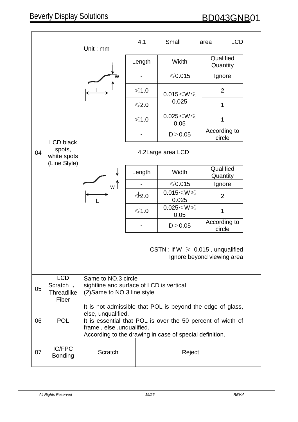|    |                                                       | Unit: mm                                                                                                                                                                                                                                |                 | Small                     | <b>LCD</b><br>area                                                 |                       |
|----|-------------------------------------------------------|-----------------------------------------------------------------------------------------------------------------------------------------------------------------------------------------------------------------------------------------|-----------------|---------------------------|--------------------------------------------------------------------|-----------------------|
|    |                                                       |                                                                                                                                                                                                                                         |                 | Length                    | Width                                                              | Qualified<br>Quantity |
|    |                                                       |                                                                                                                                                                                                                                         |                 | $\leq 0.015$              | Ignore                                                             |                       |
|    |                                                       |                                                                                                                                                                                                                                         | $\leq 1.0$      | $0.015 < W \leq$          | $\overline{2}$                                                     |                       |
|    |                                                       |                                                                                                                                                                                                                                         | $\leq 2.0$      | 0.025                     | 1                                                                  |                       |
|    |                                                       |                                                                                                                                                                                                                                         | $\leq 1.0$      | $0.025 < W \leq$<br>0.05  | 1                                                                  |                       |
|    | <b>LCD black</b>                                      |                                                                                                                                                                                                                                         |                 | D > 0.05                  | According to<br>circle                                             |                       |
| 04 | spots,<br>white spots                                 |                                                                                                                                                                                                                                         |                 | 4.2Large area LCD         |                                                                    |                       |
|    | (Line Style)                                          |                                                                                                                                                                                                                                         | Length          | Width                     | Qualified<br>Quantity                                              |                       |
|    |                                                       |                                                                                                                                                                                                                                         |                 | $\leqslant 0.015$         | Ignore                                                             |                       |
|    |                                                       |                                                                                                                                                                                                                                         | $\leqslant$ 2.0 | $0.015 < W \leq$<br>0.025 | $\overline{2}$                                                     |                       |
|    |                                                       |                                                                                                                                                                                                                                         | $\leq 1.0$      | $0.025 < W \le$<br>0.05   | 1                                                                  |                       |
|    |                                                       |                                                                                                                                                                                                                                         |                 | D > 0.05                  | According to<br>circle                                             |                       |
|    |                                                       |                                                                                                                                                                                                                                         |                 |                           | CSTN: If $W \ge 0.015$ , unqualified<br>Ignore beyond viewing area |                       |
| 05 | <b>LCD</b><br>Scratch 、<br><b>Threadlike</b><br>Fiber | Same to NO.3 circle<br>sightline and surface of LCD is vertical<br>(2) Same to NO.3 line style                                                                                                                                          |                 |                           |                                                                    |                       |
| 06 | <b>POL</b>                                            | It is not admissible that POL is beyond the edge of glass,<br>else, unqualified.<br>It is essential that POL is over the 50 percent of width of<br>frame, else, unqualified.<br>According to the drawing in case of special definition. |                 |                           |                                                                    |                       |
| 07 | <b>IC/FPC</b><br><b>Bonding</b>                       | Scratch<br>Reject                                                                                                                                                                                                                       |                 |                           |                                                                    |                       |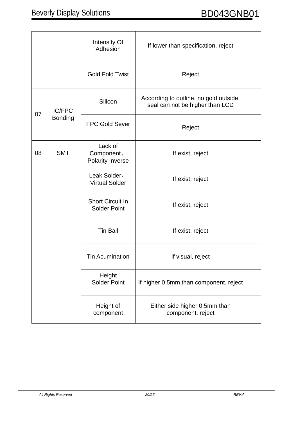|                      |                       | Intensity Of<br>Adhesion                       | If lower than specification, reject                                       |  |
|----------------------|-----------------------|------------------------------------------------|---------------------------------------------------------------------------|--|
|                      |                       | <b>Gold Fold Twist</b>                         | Reject                                                                    |  |
| <b>IC/FPC</b>        |                       | Silicon                                        | According to outline, no gold outside,<br>seal can not be higher than LCD |  |
| 07<br><b>Bonding</b> | <b>FPC Gold Sever</b> | Reject                                         |                                                                           |  |
| 08                   | <b>SMT</b>            | Lack of<br>Component.<br>Polarity Inverse      | If exist, reject                                                          |  |
|                      |                       | Leak Solder,<br><b>Virtual Solder</b>          | If exist, reject                                                          |  |
|                      |                       | <b>Short Circuit In</b><br><b>Solder Point</b> | If exist, reject                                                          |  |
|                      |                       | <b>Tin Ball</b>                                | If exist, reject                                                          |  |
|                      |                       | <b>Tin Acumination</b>                         | If visual, reject                                                         |  |
|                      |                       | Height<br><b>Solder Point</b>                  | If higher 0.5mm than component. reject                                    |  |
|                      |                       | Height of<br>component                         | Either side higher 0.5mm than<br>component, reject                        |  |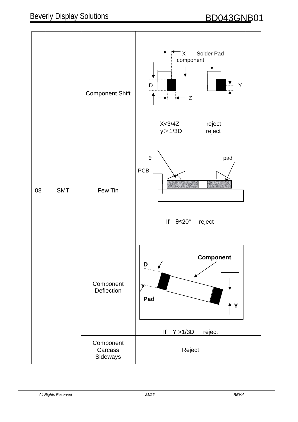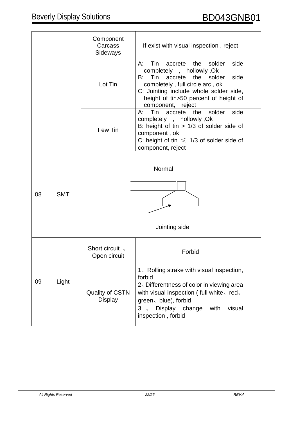|    |            | Component<br>Carcass<br>Sideways         | If exist with visual inspection, reject                                                                                                                                                                                                                                        |
|----|------------|------------------------------------------|--------------------------------------------------------------------------------------------------------------------------------------------------------------------------------------------------------------------------------------------------------------------------------|
|    |            | Lot Tin                                  | Tin<br>the<br>solder<br>side<br>$A^{\cdot}$<br>accrete<br>completely, hollowly, Ok<br>Tin<br>the<br>solder<br>side<br>accrete<br>B:<br>completely, full circle arc, ok<br>C: Jointing include whole solder side,<br>height of tin>50 percent of height of<br>component, reject |
|    |            | Few Tin                                  | Tin<br>solder<br>side<br>accrete<br>the<br>A:<br>completely, hollowly, Ok<br>B: height of tin $> 1/3$ of solder side of<br>component, ok<br>C: height of tin $\leq 1/3$ of solder side of<br>component, reject                                                                 |
| 08 | <b>SMT</b> |                                          | Normal                                                                                                                                                                                                                                                                         |
|    |            |                                          | Jointing side                                                                                                                                                                                                                                                                  |
|    |            | Short circuit,<br>Open circuit           | Forbid                                                                                                                                                                                                                                                                         |
| 09 | Light      | <b>Quality of CSTN</b><br><b>Display</b> | 1. Rolling strake with visual inspection,<br>forbid<br>2. Differentness of color in viewing area<br>with visual inspection (full white, red,<br>green、blue), forbid<br>Display change<br>with<br>visual<br>3<br>inspection, forbid                                             |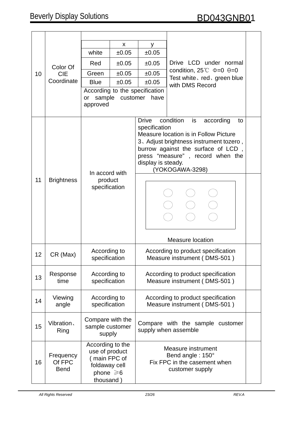|    |                                    |                                                                                                    | X              | У                                      |                                                                                                                                                                                                                                                                            |  |  |
|----|------------------------------------|----------------------------------------------------------------------------------------------------|----------------|----------------------------------------|----------------------------------------------------------------------------------------------------------------------------------------------------------------------------------------------------------------------------------------------------------------------------|--|--|
|    |                                    | white                                                                                              | ±0.05          | ±0.05                                  |                                                                                                                                                                                                                                                                            |  |  |
|    | Red                                | ±0.05                                                                                              | ±0.05          | Drive LCD under normal                 |                                                                                                                                                                                                                                                                            |  |  |
|    | Color Of                           |                                                                                                    |                |                                        | condition, $25^{\circ}$ $\circ$ $\div$ $\theta$ = 0                                                                                                                                                                                                                        |  |  |
| 10 | <b>CIE</b><br>Coordinate           | Green                                                                                              | ±0.05          | ±0.05                                  | Test white, red, green blue                                                                                                                                                                                                                                                |  |  |
|    |                                    | <b>Blue</b>                                                                                        | ±0.05          | ±0.05                                  | with DMS Record                                                                                                                                                                                                                                                            |  |  |
|    |                                    | sample<br>or<br>approved                                                                           | customer       | According to the specification<br>have |                                                                                                                                                                                                                                                                            |  |  |
|    |                                    |                                                                                                    | In accord with |                                        | condition<br><b>Drive</b><br>is<br>according<br>to<br>specification<br>Measure location is in Follow Picture<br>3. Adjust brightness instrument tozero,<br>burrow against the surface of LCD,<br>press "measure", record when the<br>display is steady.<br>(YOKOGAWA-3298) |  |  |
| 11 | <b>Brightness</b>                  | product<br>specification                                                                           |                |                                        |                                                                                                                                                                                                                                                                            |  |  |
|    |                                    |                                                                                                    |                |                                        | <b>Measure location</b>                                                                                                                                                                                                                                                    |  |  |
| 12 | CR (Max)                           | According to<br>specification                                                                      |                |                                        | According to product specification<br>Measure instrument (DMS-501)                                                                                                                                                                                                         |  |  |
| 13 | Response<br>time                   | According to<br>specification                                                                      |                |                                        | According to product specification<br>Measure instrument (DMS-501)                                                                                                                                                                                                         |  |  |
| 14 | Viewing<br>angle                   | According to<br>specification                                                                      |                |                                        | According to product specification<br>Measure instrument (DMS-501)                                                                                                                                                                                                         |  |  |
| 15 | Vibration,<br>Ring                 | Compare with the<br>sample customer<br>supply                                                      |                |                                        | Compare with the sample customer<br>supply when assemble                                                                                                                                                                                                                   |  |  |
| 16 | Frequency<br>Of FPC<br><b>Bend</b> | According to the<br>use of product<br>(main FPC of<br>foldaway cell<br>phone $\geq 6$<br>thousand) |                |                                        | <b>Measure instrument</b><br>Bend angle: 150°<br>Fix FPC in the casement when<br>customer supply                                                                                                                                                                           |  |  |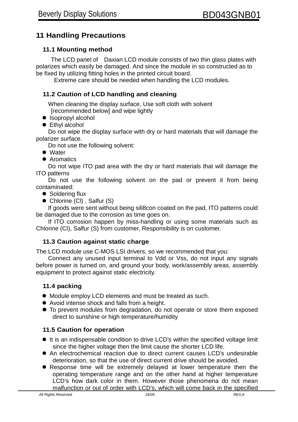#### **11 Handling Precautions**

#### **11.1 Mounting method**

The LCD panel of Daxian LCD module consists of two thin glass plates with polarizes which easily be damaged. And since the module in so constructed as to be fixed by utilizing fitting holes in the printed circuit board.

Extreme care should be needed when handling the LCD modules.

#### **11.2 Caution of LCD handling and cleaning**

When cleaning the display surface, Use soft cloth with solvent [recommended below] and wipe lightly

- Isopropyl alcohol
- Ethyl alcohol

 Do not wipe the display surface with dry or hard materials that will damage the polarizer surface.

Do not use the following solvent:

- Water
- Aromatics

 Do not wipe ITO pad area with the dry or hard materials that will damage the ITO patterns

 Do not use the following solvent on the pad or prevent it from being contaminated:

- Soldering flux
- Chlorine (CI), Salfur (S)

If goods were sent without being sili8con coated on the pad, ITO patterns could be damaged due to the corrosion as time goes on.

If ITO corrosion happen by miss-handling or using some materials such as Chlorine (CI), Salfur (S) from customer, Responsibility is on customer.

#### **11.3 Caution against static charge**

The LCD module use C-MOS LSI drivers, so we recommended that you:

Connect any unused input terminal to Vdd or Vss, do not input any signals before power is turned on, and ground your body, work/assembly areas, assembly equipment to protect against static electricity.

#### **11.4 packing**

- Module employ LCD elements and must be treated as such.
- Avoid intense shock and falls from a height.
- To prevent modules from degradation, do not operate or store them exposed direct to sunshine or high temperature/humidity

#### **11.5 Caution for operation**

- It is an indispensable condition to drive LCD's within the specified voltage limit since the higher voltage then the limit cause the shorter LCD life.
- An electrochemical reaction due to direct current causes LCD's undesirable deterioration, so that the use of direct current drive should be avoided.
- Response time will be extremely delayed at lower temperature then the operating temperature range and on the other hand at higher temperature LCD's how dark color in them. However those phenomena do not mean malfunction or out of order with LCD's, which will come back in the specified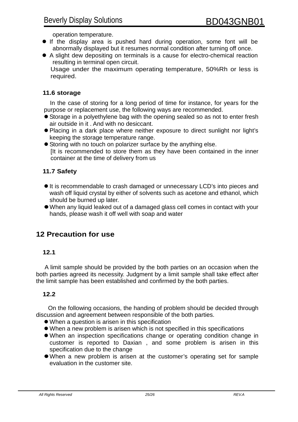operation temperature.

- If the display area is pushed hard during operation, some font will be abnormally displayed but it resumes normal condition after turning off once.
- A slight dew depositing on terminals is a cause for electro-chemical reaction resulting in terminal open circuit.

Usage under the maximum operating temperature, 50%Rh or less is required.

#### **11.6 storage**

In the case of storing for a long period of time for instance, for years for the purpose or replacement use, the following ways are recommended.

- Storage in a polyethylene bag with the opening sealed so as not to enter fresh air outside in it . And with no desiccant.
- Placing in a dark place where neither exposure to direct sunlight nor light's keeping the storage temperature range.
- **Storing with no touch on polarizer surface by the anything else.** It is recommended to store them as they have been contained in the inner container at the time of delivery from us

#### **11.7 Safety**

- $\bullet$  It is recommendable to crash damaged or unnecessary LCD's into pieces and wash off liquid crystal by either of solvents such as acetone and ethanol, which should be burned up later.
- When any liquid leaked out of a damaged glass cell comes in contact with your hands, please wash it off well with soap and water

#### **12 Precaution for use**

#### **12.1**

A limit sample should be provided by the both parties on an occasion when the both parties agreed its necessity. Judgment by a limit sample shall take effect after the limit sample has been established and confirmed by the both parties.

#### **12.2**

On the following occasions, the handing of problem should be decided through discussion and agreement between responsible of the both parties.

- When a question is arisen in this specification
- When a new problem is arisen which is not specified in this specifications
- When an inspection specifications change or operating condition change in customer is reported to Daxian , and some problem is arisen in this specification due to the change
- When a new problem is arisen at the customer's operating set for sample evaluation in the customer site.